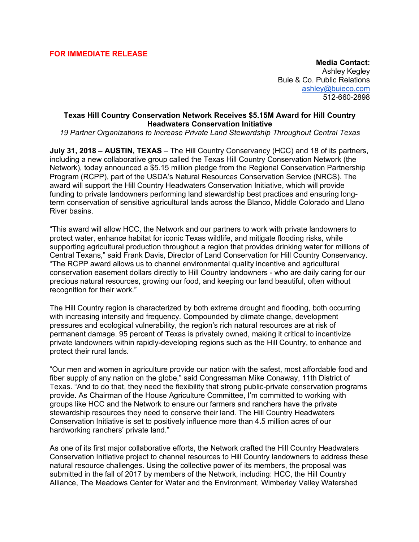## **FOR IMMEDIATE RELEASE**

**Media Contact:** Ashley Kegley Buie & Co. Public Relations ashley@buieco.com 512-660-2898

## **Texas Hill Country Conservation Network Receives \$5.15M Award for Hill Country Headwaters Conservation Initiative**

*19 Partner Organizations to Increase Private Land Stewardship Throughout Central Texas*

**July 31, 2018 – AUSTIN, TEXAS** – The Hill Country Conservancy (HCC) and 18 of its partners, including a new collaborative group called the Texas Hill Country Conservation Network (the Network), today announced a \$5.15 million pledge from the Regional Conservation Partnership Program (RCPP), part of the USDA's Natural Resources Conservation Service (NRCS). The award will support the Hill Country Headwaters Conservation Initiative, which will provide funding to private landowners performing land stewardship best practices and ensuring longterm conservation of sensitive agricultural lands across the Blanco, Middle Colorado and Llano River basins.

"This award will allow HCC, the Network and our partners to work with private landowners to protect water, enhance habitat for iconic Texas wildlife, and mitigate flooding risks, while supporting agricultural production throughout a region that provides drinking water for millions of Central Texans," said Frank Davis, Director of Land Conservation for Hill Country Conservancy. "The RCPP award allows us to channel environmental quality incentive and agricultural conservation easement dollars directly to Hill Country landowners - who are daily caring for our precious natural resources, growing our food, and keeping our land beautiful, often without recognition for their work."

The Hill Country region is characterized by both extreme drought and flooding, both occurring with increasing intensity and frequency. Compounded by climate change, development pressures and ecological vulnerability, the region's rich natural resources are at risk of permanent damage. 95 percent of Texas is privately owned, making it critical to incentivize private landowners within rapidly-developing regions such as the Hill Country, to enhance and protect their rural lands.

"Our men and women in agriculture provide our nation with the safest, most affordable food and fiber supply of any nation on the globe," said Congressman Mike Conaway, 11th District of Texas. "And to do that, they need the flexibility that strong public-private conservation programs provide. As Chairman of the House Agriculture Committee, I'm committed to working with groups like HCC and the Network to ensure our farmers and ranchers have the private stewardship resources they need to conserve their land. The Hill Country Headwaters Conservation Initiative is set to positively influence more than 4.5 million acres of our hardworking ranchers' private land."

As one of its first major collaborative efforts, the Network crafted the Hill Country Headwaters Conservation Initiative project to channel resources to Hill Country landowners to address these natural resource challenges. Using the collective power of its members, the proposal was submitted in the fall of 2017 by members of the Network, including: HCC, the Hill Country Alliance, The Meadows Center for Water and the Environment, Wimberley Valley Watershed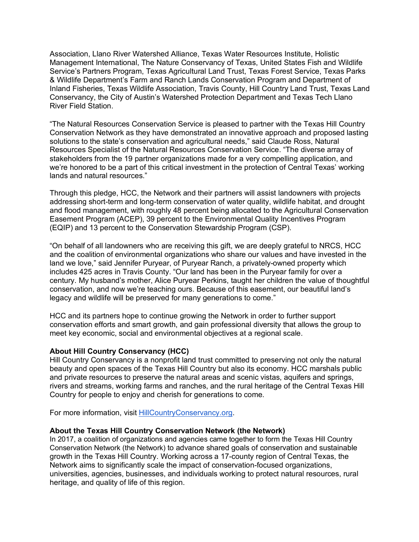Association, Llano River Watershed Alliance, Texas Water Resources Institute, Holistic Management International, The Nature Conservancy of Texas, United States Fish and Wildlife Service's Partners Program, Texas Agricultural Land Trust, Texas Forest Service, Texas Parks & Wildlife Department's Farm and Ranch Lands Conservation Program and Department of Inland Fisheries, Texas Wildlife Association, Travis County, Hill Country Land Trust, Texas Land Conservancy, the City of Austin's Watershed Protection Department and Texas Tech Llano River Field Station.

"The Natural Resources Conservation Service is pleased to partner with the Texas Hill Country Conservation Network as they have demonstrated an innovative approach and proposed lasting solutions to the state's conservation and agricultural needs," said Claude Ross, Natural Resources Specialist of the Natural Resources Conservation Service. "The diverse array of stakeholders from the 19 partner organizations made for a very compelling application, and we're honored to be a part of this critical investment in the protection of Central Texas' working lands and natural resources."

Through this pledge, HCC, the Network and their partners will assist landowners with projects addressing short-term and long-term conservation of water quality, wildlife habitat, and drought and flood management, with roughly 48 percent being allocated to the Agricultural Conservation Easement Program (ACEP), 39 percent to the Environmental Quality Incentives Program (EQIP) and 13 percent to the Conservation Stewardship Program (CSP).

"On behalf of all landowners who are receiving this gift, we are deeply grateful to NRCS, HCC and the coalition of environmental organizations who share our values and have invested in the land we love," said Jennifer Puryear, of Puryear Ranch, a privately-owned property which includes 425 acres in Travis County. "Our land has been in the Puryear family for over a century. My husband's mother, Alice Puryear Perkins, taught her children the value of thoughtful conservation, and now we're teaching ours. Because of this easement, our beautiful land's legacy and wildlife will be preserved for many generations to come."

HCC and its partners hope to continue growing the Network in order to further support conservation efforts and smart growth, and gain professional diversity that allows the group to meet key economic, social and environmental objectives at a regional scale.

#### **About Hill Country Conservancy (HCC)**

Hill Country Conservancy is a nonprofit land trust committed to preserving not only the natural beauty and open spaces of the Texas Hill Country but also its economy. HCC marshals public and private resources to preserve the natural areas and scenic vistas, aquifers and springs, rivers and streams, working farms and ranches, and the rural heritage of the Central Texas Hill Country for people to enjoy and cherish for generations to come.

For more information, visit HillCountryConservancy.org.

#### **About the Texas Hill Country Conservation Network (the Network)**

In 2017, a coalition of organizations and agencies came together to form the Texas Hill Country Conservation Network (the Network) to advance shared goals of conservation and sustainable growth in the Texas Hill Country. Working across a 17-county region of Central Texas, the Network aims to significantly scale the impact of conservation-focused organizations, universities, agencies, businesses, and individuals working to protect natural resources, rural heritage, and quality of life of this region.